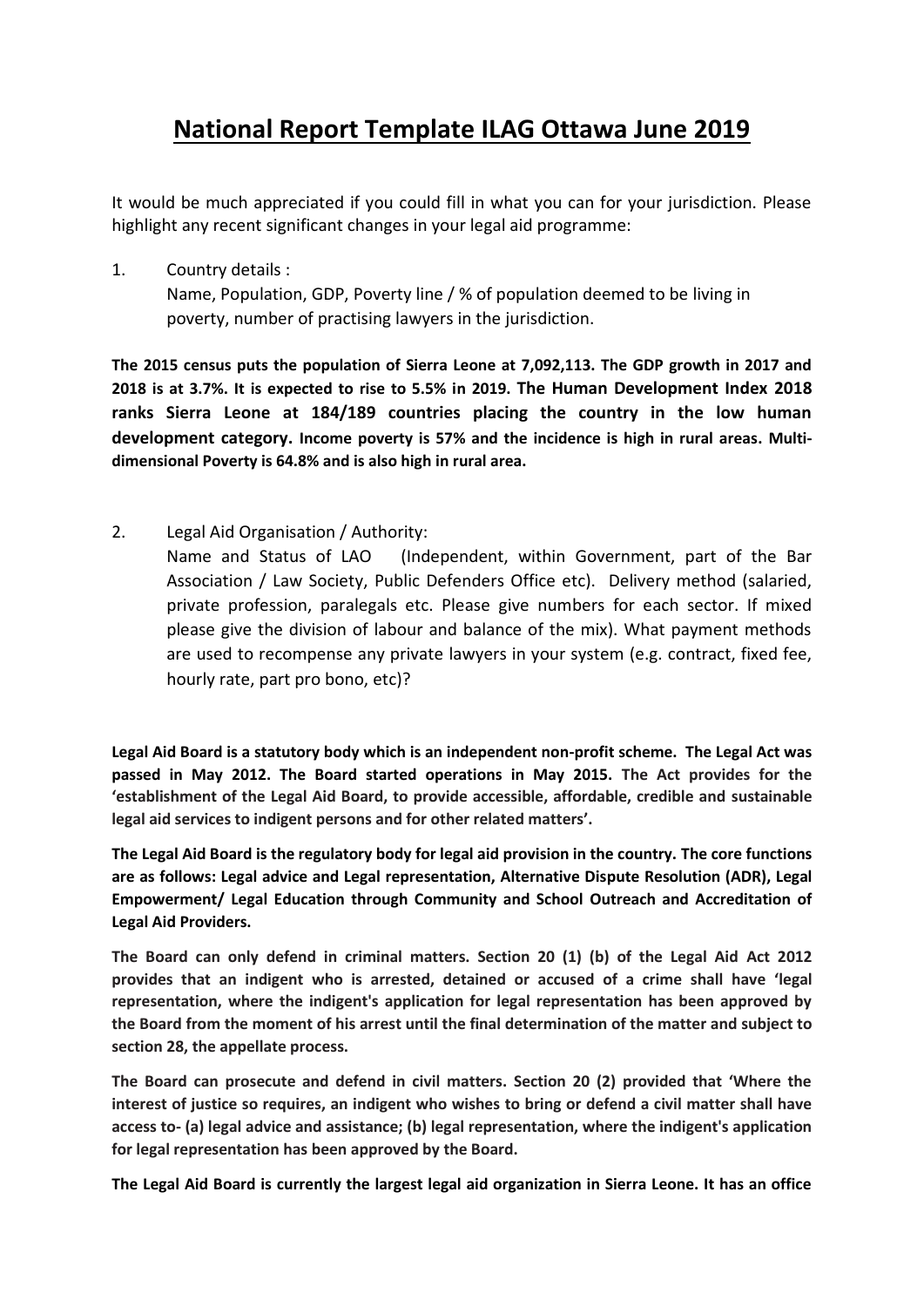## **National Report Template ILAG Ottawa June 2019**

It would be much appreciated if you could fill in what you can for your jurisdiction. Please highlight any recent significant changes in your legal aid programme:

1. Country details : Name, Population, GDP, Poverty line / % of population deemed to be living in poverty, number of practising lawyers in the jurisdiction.

**The 2015 census puts the population of Sierra Leone at 7,092,113. The GDP growth in 2017 and 2018 is at 3.7%. It is expected to rise to 5.5% in 2019. The Human Development Index 2018 ranks Sierra Leone at 184/189 countries placing the country in the low human development category. Income poverty is 57% and the incidence is high in rural areas. Multidimensional Poverty is 64.8% and is also high in rural area.** 

2. Legal Aid Organisation / Authority:

Name and Status of LAO (Independent, within Government, part of the Bar Association / Law Society, Public Defenders Office etc). Delivery method (salaried, private profession, paralegals etc. Please give numbers for each sector. If mixed please give the division of labour and balance of the mix). What payment methods are used to recompense any private lawyers in your system (e.g. contract, fixed fee, hourly rate, part pro bono, etc)?

**Legal Aid Board is a statutory body which is an independent non-profit scheme. The Legal Act was passed in May 2012. The Board started operations in May 2015. The Act provides for the 'establishment of the Legal Aid Board, to provide accessible, affordable, credible and sustainable legal aid services to indigent persons and for other related matters'.**

**The Legal Aid Board is the regulatory body for legal aid provision in the country. The core functions are as follows: Legal advice and Legal representation, Alternative Dispute Resolution (ADR), Legal Empowerment/ Legal Education through Community and School Outreach and Accreditation of Legal Aid Providers.** 

**The Board can only defend in criminal matters. Section 20 (1) (b) of the Legal Aid Act 2012 provides that an indigent who is arrested, detained or accused of a crime shall have 'legal representation, where the indigent's application for legal representation has been approved by the Board from the moment of his arrest until the final determination of the matter and subject to section 28, the appellate process.**

**The Board can prosecute and defend in civil matters. Section 20 (2) provided that 'Where the interest of justice so requires, an indigent who wishes to bring or defend a civil matter shall have access to- (a) legal advice and assistance; (b) legal representation, where the indigent's application for legal representation has been approved by the Board.**

**The Legal Aid Board is currently the largest legal aid organization in Sierra Leone. It has an office**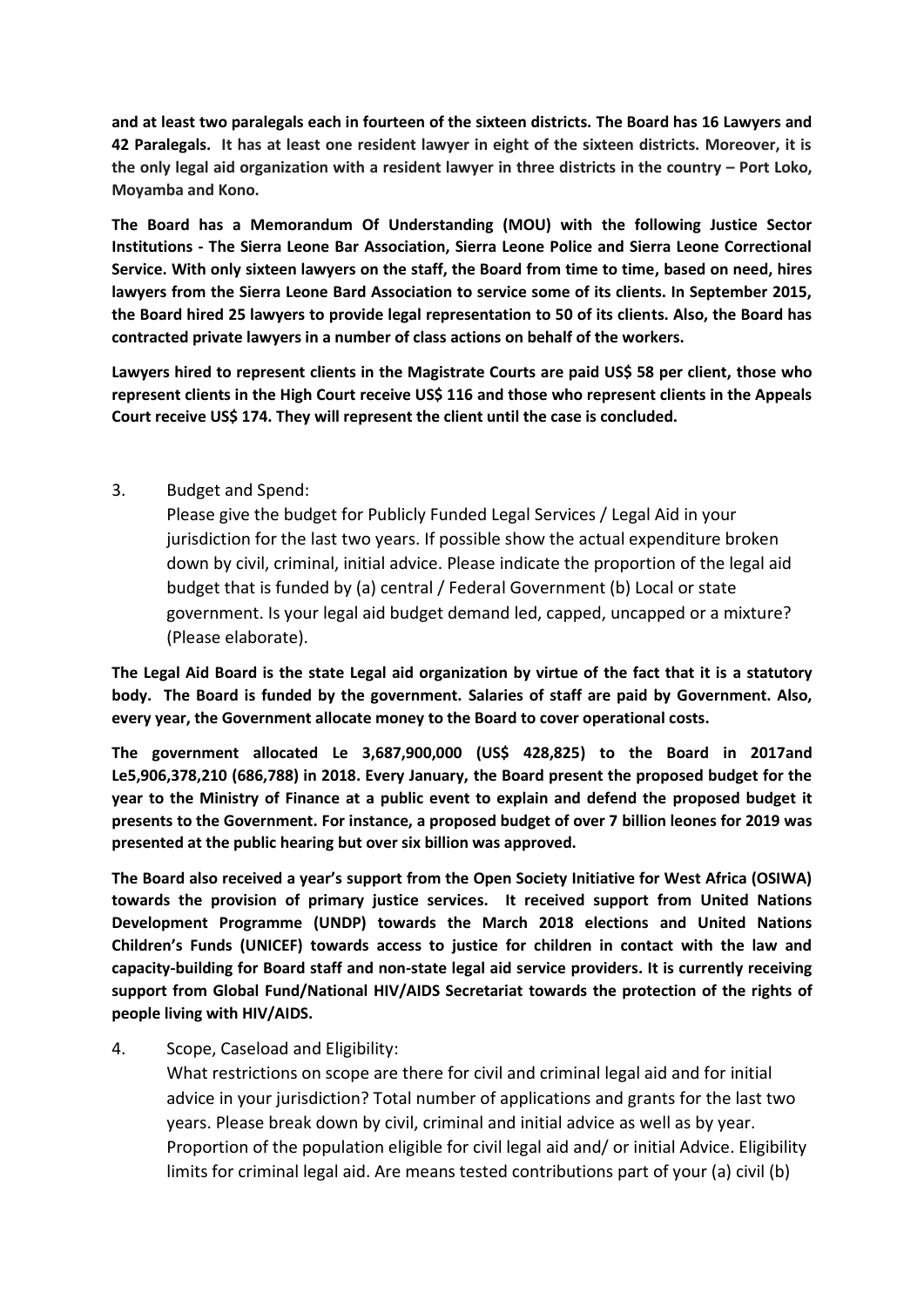**and at least two paralegals each in fourteen of the sixteen districts. The Board has 16 Lawyers and 42 Paralegals. It has at least one resident lawyer in eight of the sixteen districts. Moreover, it is the only legal aid organization with a resident lawyer in three districts in the country – Port Loko, Moyamba and Kono.** 

**The Board has a Memorandum Of Understanding (MOU) with the following Justice Sector Institutions - The Sierra Leone Bar Association, Sierra Leone Police and Sierra Leone Correctional Service. With only sixteen lawyers on the staff, the Board from time to time, based on need, hires lawyers from the Sierra Leone Bard Association to service some of its clients. In September 2015, the Board hired 25 lawyers to provide legal representation to 50 of its clients. Also, the Board has contracted private lawyers in a number of class actions on behalf of the workers.**

**Lawyers hired to represent clients in the Magistrate Courts are paid US\$ 58 per client, those who represent clients in the High Court receive US\$ 116 and those who represent clients in the Appeals Court receive US\$ 174. They will represent the client until the case is concluded.** 

## 3. Budget and Spend:

Please give the budget for Publicly Funded Legal Services / Legal Aid in your jurisdiction for the last two years. If possible show the actual expenditure broken down by civil, criminal, initial advice. Please indicate the proportion of the legal aid budget that is funded by (a) central / Federal Government (b) Local or state government. Is your legal aid budget demand led, capped, uncapped or a mixture? (Please elaborate).

**The Legal Aid Board is the state Legal aid organization by virtue of the fact that it is a statutory body. The Board is funded by the government. Salaries of staff are paid by Government. Also, every year, the Government allocate money to the Board to cover operational costs.** 

**The government allocated Le 3,687,900,000 (US\$ 428,825) to the Board in 2017and Le5,906,378,210 (686,788) in 2018. Every January, the Board present the proposed budget for the year to the Ministry of Finance at a public event to explain and defend the proposed budget it presents to the Government. For instance, a proposed budget of over 7 billion leones for 2019 was presented at the public hearing but over six billion was approved.** 

**The Board also received a year's support from the Open Society Initiative for West Africa (OSIWA) towards the provision of primary justice services. It received support from United Nations Development Programme (UNDP) towards the March 2018 elections and United Nations Children's Funds (UNICEF) towards access to justice for children in contact with the law and capacity-building for Board staff and non-state legal aid service providers. It is currently receiving support from Global Fund/National HIV/AIDS Secretariat towards the protection of the rights of people living with HIV/AIDS.** 

## 4. Scope, Caseload and Eligibility:

What restrictions on scope are there for civil and criminal legal aid and for initial advice in your jurisdiction? Total number of applications and grants for the last two years. Please break down by civil, criminal and initial advice as well as by year. Proportion of the population eligible for civil legal aid and/ or initial Advice. Eligibility limits for criminal legal aid. Are means tested contributions part of your (a) civil (b)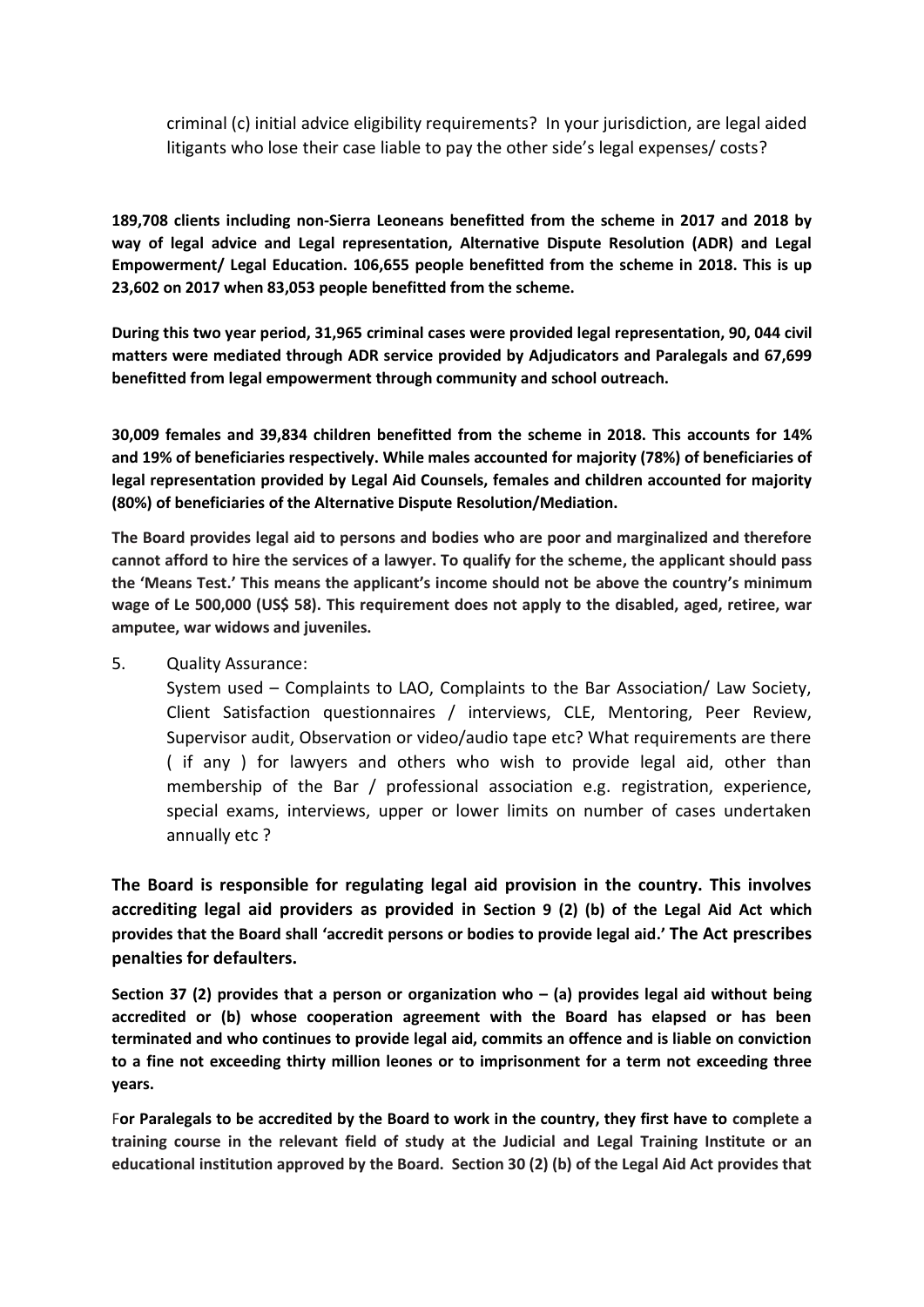criminal (c) initial advice eligibility requirements? In your jurisdiction, are legal aided litigants who lose their case liable to pay the other side's legal expenses/ costs?

**189,708 clients including non-Sierra Leoneans benefitted from the scheme in 2017 and 2018 by way of legal advice and Legal representation, Alternative Dispute Resolution (ADR) and Legal Empowerment/ Legal Education. 106,655 people benefitted from the scheme in 2018. This is up 23,602 on 2017 when 83,053 people benefitted from the scheme.**

**During this two year period, 31,965 criminal cases were provided legal representation, 90, 044 civil matters were mediated through ADR service provided by Adjudicators and Paralegals and 67,699 benefitted from legal empowerment through community and school outreach.** 

**30,009 females and 39,834 children benefitted from the scheme in 2018. This accounts for 14% and 19% of beneficiaries respectively. While males accounted for majority (78%) of beneficiaries of legal representation provided by Legal Aid Counsels, females and children accounted for majority (80%) of beneficiaries of the Alternative Dispute Resolution/Mediation.** 

**The Board provides legal aid to persons and bodies who are poor and marginalized and therefore cannot afford to hire the services of a lawyer. To qualify for the scheme, the applicant should pass the 'Means Test.' This means the applicant's income should not be above the country's minimum wage of Le 500,000 (US\$ 58). This requirement does not apply to the disabled, aged, retiree, war amputee, war widows and juveniles.** 

## 5. Quality Assurance:

System used – Complaints to LAO, Complaints to the Bar Association/ Law Society, Client Satisfaction questionnaires / interviews, CLE, Mentoring, Peer Review, Supervisor audit, Observation or video/audio tape etc? What requirements are there ( if any ) for lawyers and others who wish to provide legal aid, other than membership of the Bar / professional association e.g. registration, experience, special exams, interviews, upper or lower limits on number of cases undertaken annually etc ?

**The Board is responsible for regulating legal aid provision in the country. This involves accrediting legal aid providers as provided in Section 9 (2) (b) of the Legal Aid Act which provides that the Board shall 'accredit persons or bodies to provide legal aid.' The Act prescribes penalties for defaulters.**

**Section 37 (2) provides that a person or organization who – (a) provides legal aid without being accredited or (b) whose cooperation agreement with the Board has elapsed or has been terminated and who continues to provide legal aid, commits an offence and is liable on conviction to a fine not exceeding thirty million leones or to imprisonment for a term not exceeding three years.** 

F**or Paralegals to be accredited by the Board to work in the country, they first have to complete a training course in the relevant field of study at the Judicial and Legal Training Institute or an educational institution approved by the Board. Section 30 (2) (b) of the Legal Aid Act provides that**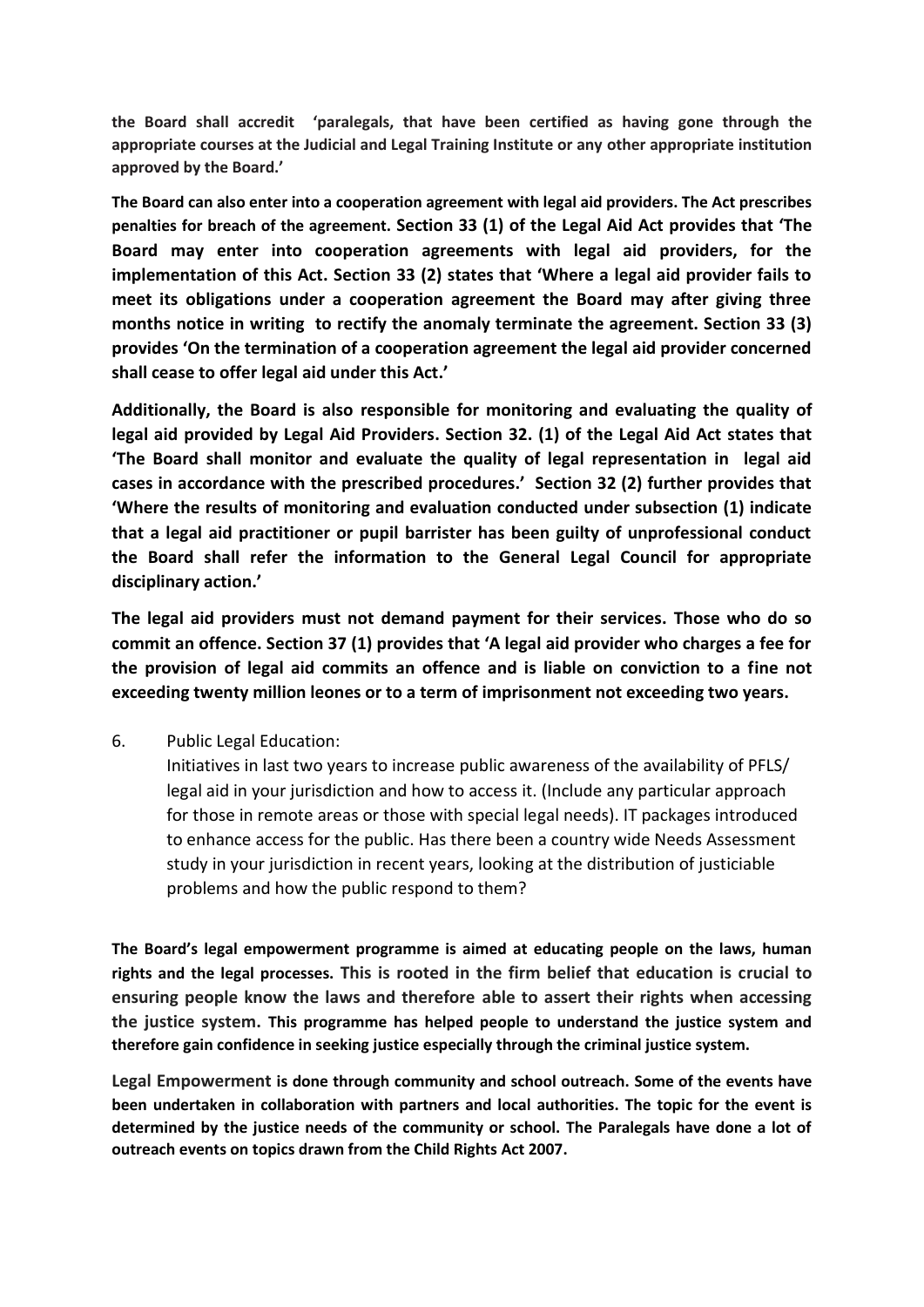**the Board shall accredit 'paralegals, that have been certified as having gone through the appropriate courses at the Judicial and Legal Training Institute or any other appropriate institution approved by the Board.'**

**The Board can also enter into a cooperation agreement with legal aid providers. The Act prescribes penalties for breach of the agreement. Section 33 (1) of the Legal Aid Act provides that 'The Board may enter into cooperation agreements with legal aid providers, for the implementation of this Act. Section 33 (2) states that 'Where a legal aid provider fails to meet its obligations under a cooperation agreement the Board may after giving three months notice in writing to rectify the anomaly terminate the agreement. Section 33 (3) provides 'On the termination of a cooperation agreement the legal aid provider concerned shall cease to offer legal aid under this Act.'**

**Additionally, the Board is also responsible for monitoring and evaluating the quality of legal aid provided by Legal Aid Providers. Section 32. (1) of the Legal Aid Act states that 'The Board shall monitor and evaluate the quality of legal representation in legal aid cases in accordance with the prescribed procedures.' Section 32 (2) further provides that 'Where the results of monitoring and evaluation conducted under subsection (1) indicate that a legal aid practitioner or pupil barrister has been guilty of unprofessional conduct the Board shall refer the information to the General Legal Council for appropriate disciplinary action.'**

**The legal aid providers must not demand payment for their services. Those who do so commit an offence. Section 37 (1) provides that 'A legal aid provider who charges a fee for the provision of legal aid commits an offence and is liable on conviction to a fine not exceeding twenty million leones or to a term of imprisonment not exceeding two years.**

6. Public Legal Education:

Initiatives in last two years to increase public awareness of the availability of PFLS/ legal aid in your jurisdiction and how to access it. (Include any particular approach for those in remote areas or those with special legal needs). IT packages introduced to enhance access for the public. Has there been a country wide Needs Assessment study in your jurisdiction in recent years, looking at the distribution of justiciable problems and how the public respond to them?

**The Board's legal empowerment programme is aimed at educating people on the laws, human rights and the legal processes. This is rooted in the firm belief that education is crucial to ensuring people know the laws and therefore able to assert their rights when accessing the justice system. This programme has helped people to understand the justice system and therefore gain confidence in seeking justice especially through the criminal justice system.** 

**Legal Empowerment is done through community and school outreach. Some of the events have been undertaken in collaboration with partners and local authorities. The topic for the event is determined by the justice needs of the community or school. The Paralegals have done a lot of outreach events on topics drawn from the Child Rights Act 2007.**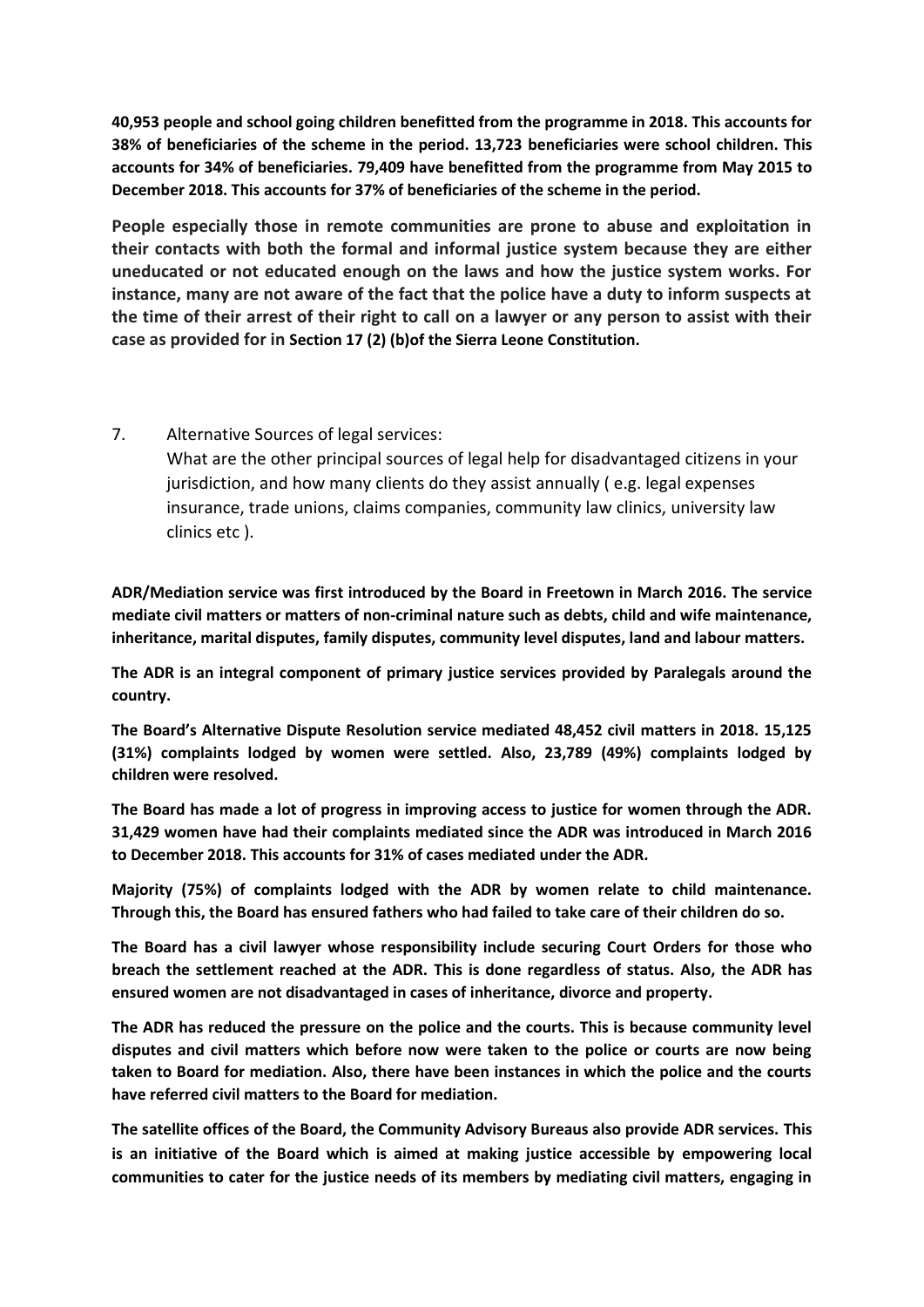**40,953 people and school going children benefitted from the programme in 2018. This accounts for 38% of beneficiaries of the scheme in the period. 13,723 beneficiaries were school children. This accounts for 34% of beneficiaries. 79,409 have benefitted from the programme from May 2015 to December 2018. This accounts for 37% of beneficiaries of the scheme in the period.** 

**People especially those in remote communities are prone to abuse and exploitation in their contacts with both the formal and informal justice system because they are either uneducated or not educated enough on the laws and how the justice system works. For instance, many are not aware of the fact that the police have a duty to inform suspects at the time of their arrest of their right to call on a lawyer or any person to assist with their case as provided for in Section 17 (2) (b)of the Sierra Leone Constitution.** 

7. Alternative Sources of legal services:

What are the other principal sources of legal help for disadvantaged citizens in your jurisdiction, and how many clients do they assist annually ( e.g. legal expenses insurance, trade unions, claims companies, community law clinics, university law clinics etc ).

**ADR/Mediation service was first introduced by the Board in Freetown in March 2016. The service mediate civil matters or matters of non-criminal nature such as debts, child and wife maintenance, inheritance, marital disputes, family disputes, community level disputes, land and labour matters.** 

**The ADR is an integral component of primary justice services provided by Paralegals around the country.** 

**The Board's Alternative Dispute Resolution service mediated 48,452 civil matters in 2018. 15,125 (31%) complaints lodged by women were settled. Also, 23,789 (49%) complaints lodged by children were resolved.**

**The Board has made a lot of progress in improving access to justice for women through the ADR. 31,429 women have had their complaints mediated since the ADR was introduced in March 2016 to December 2018. This accounts for 31% of cases mediated under the ADR.** 

**Majority (75%) of complaints lodged with the ADR by women relate to child maintenance. Through this, the Board has ensured fathers who had failed to take care of their children do so.** 

**The Board has a civil lawyer whose responsibility include securing Court Orders for those who breach the settlement reached at the ADR. This is done regardless of status. Also, the ADR has ensured women are not disadvantaged in cases of inheritance, divorce and property.** 

**The ADR has reduced the pressure on the police and the courts. This is because community level disputes and civil matters which before now were taken to the police or courts are now being taken to Board for mediation. Also, there have been instances in which the police and the courts have referred civil matters to the Board for mediation.**

**The satellite offices of the Board, the Community Advisory Bureaus also provide ADR services. This is an initiative of the Board which is aimed at making justice accessible by empowering local communities to cater for the justice needs of its members by mediating civil matters, engaging in**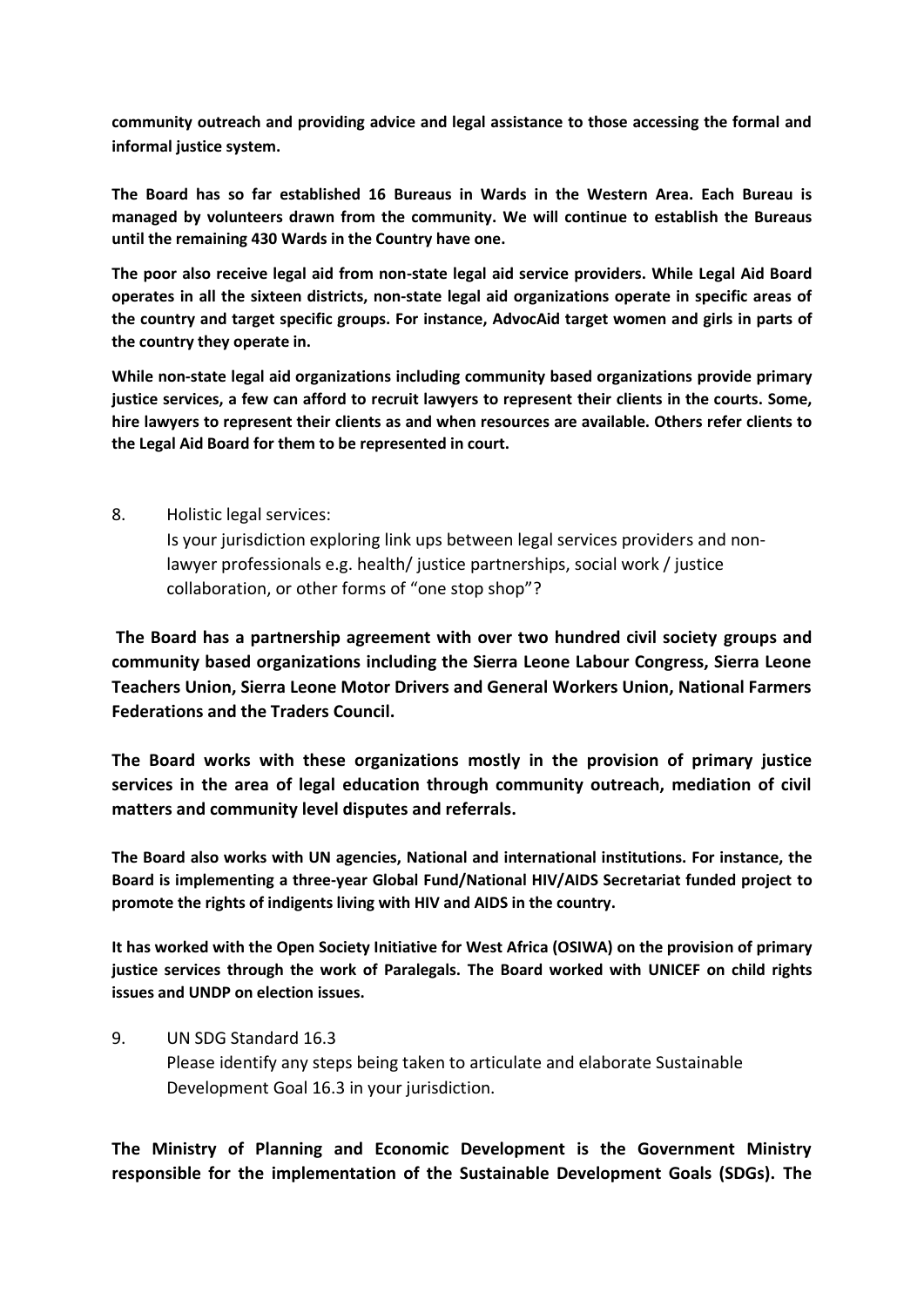**community outreach and providing advice and legal assistance to those accessing the formal and informal justice system.** 

**The Board has so far established 16 Bureaus in Wards in the Western Area. Each Bureau is managed by volunteers drawn from the community. We will continue to establish the Bureaus until the remaining 430 Wards in the Country have one.** 

**The poor also receive legal aid from non-state legal aid service providers. While Legal Aid Board operates in all the sixteen districts, non-state legal aid organizations operate in specific areas of the country and target specific groups. For instance, AdvocAid target women and girls in parts of the country they operate in.** 

**While non-state legal aid organizations including community based organizations provide primary justice services, a few can afford to recruit lawyers to represent their clients in the courts. Some, hire lawyers to represent their clients as and when resources are available. Others refer clients to the Legal Aid Board for them to be represented in court.** 

8. Holistic legal services:

Is your jurisdiction exploring link ups between legal services providers and nonlawyer professionals e.g. health/ justice partnerships, social work / justice collaboration, or other forms of "one stop shop"?

**The Board has a partnership agreement with over two hundred civil society groups and community based organizations including the Sierra Leone Labour Congress, Sierra Leone Teachers Union, Sierra Leone Motor Drivers and General Workers Union, National Farmers Federations and the Traders Council.** 

**The Board works with these organizations mostly in the provision of primary justice services in the area of legal education through community outreach, mediation of civil matters and community level disputes and referrals.** 

**The Board also works with UN agencies, National and international institutions. For instance, the Board is implementing a three-year Global Fund/National HIV/AIDS Secretariat funded project to promote the rights of indigents living with HIV and AIDS in the country.**

**It has worked with the Open Society Initiative for West Africa (OSIWA) on the provision of primary justice services through the work of Paralegals. The Board worked with UNICEF on child rights issues and UNDP on election issues.** 

9. UN SDG Standard 16.3 Please identify any steps being taken to articulate and elaborate Sustainable Development Goal 16.3 in your jurisdiction.

**The Ministry of Planning and Economic Development is the Government Ministry responsible for the implementation of the Sustainable Development Goals (SDGs). The**